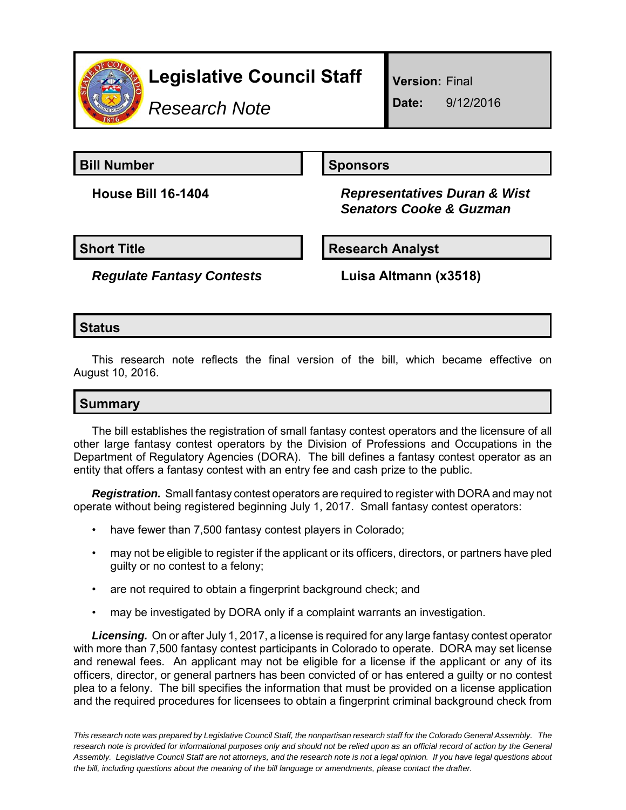

*Research Note*

**Version:** Final

**Date:** 9/12/2016

**Bill Number Sponsors** 

**House Bill 16-1404** *Representatives Duran & Wist Senators Cooke & Guzman*

**Short Title Research Analyst** 

*Regulate Fantasy Contests* **Luisa Altmann (x3518)**

### **Status**

This research note reflects the final version of the bill, which became effective on August 10, 2016.

## **Summary**

The bill establishes the registration of small fantasy contest operators and the licensure of all other large fantasy contest operators by the Division of Professions and Occupations in the Department of Regulatory Agencies (DORA). The bill defines a fantasy contest operator as an entity that offers a fantasy contest with an entry fee and cash prize to the public.

*Registration.* Small fantasy contest operators are required to register with DORA and may not operate without being registered beginning July 1, 2017. Small fantasy contest operators:

- have fewer than 7,500 fantasy contest players in Colorado;
- may not be eligible to register if the applicant or its officers, directors, or partners have pled guilty or no contest to a felony;
- are not required to obtain a fingerprint background check; and
- may be investigated by DORA only if a complaint warrants an investigation.

*Licensing.* On or after July 1, 2017, a license is required for any large fantasy contest operator with more than 7,500 fantasy contest participants in Colorado to operate. DORA may set license and renewal fees. An applicant may not be eligible for a license if the applicant or any of its officers, director, or general partners has been convicted of or has entered a guilty or no contest plea to a felony. The bill specifies the information that must be provided on a license application and the required procedures for licensees to obtain a fingerprint criminal background check from

*This research note was prepared by Legislative Council Staff, the nonpartisan research staff for the Colorado General Assembly. The research note is provided for informational purposes only and should not be relied upon as an official record of action by the General Assembly. Legislative Council Staff are not attorneys, and the research note is not a legal opinion. If you have legal questions about the bill, including questions about the meaning of the bill language or amendments, please contact the drafter.*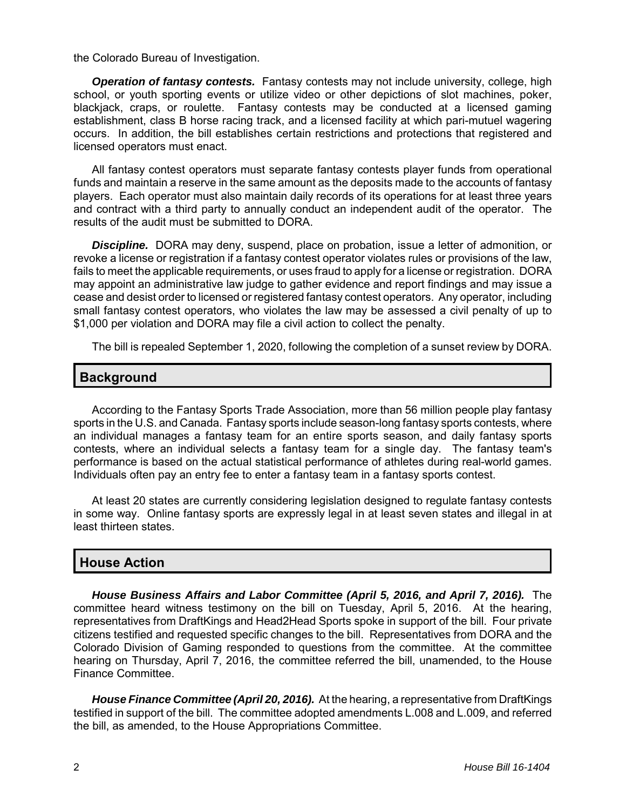the Colorado Bureau of Investigation.

*Operation of fantasy contests.* Fantasy contests may not include university, college, high school, or youth sporting events or utilize video or other depictions of slot machines, poker, blackjack, craps, or roulette. Fantasy contests may be conducted at a licensed gaming establishment, class B horse racing track, and a licensed facility at which pari-mutuel wagering occurs. In addition, the bill establishes certain restrictions and protections that registered and licensed operators must enact.

All fantasy contest operators must separate fantasy contests player funds from operational funds and maintain a reserve in the same amount as the deposits made to the accounts of fantasy players. Each operator must also maintain daily records of its operations for at least three years and contract with a third party to annually conduct an independent audit of the operator. The results of the audit must be submitted to DORA.

*Discipline.* DORA may deny, suspend, place on probation, issue a letter of admonition, or revoke a license or registration if a fantasy contest operator violates rules or provisions of the law, fails to meet the applicable requirements, or uses fraud to apply for a license or registration. DORA may appoint an administrative law judge to gather evidence and report findings and may issue a cease and desist order to licensed or registered fantasy contest operators. Any operator, including small fantasy contest operators, who violates the law may be assessed a civil penalty of up to \$1,000 per violation and DORA may file a civil action to collect the penalty.

The bill is repealed September 1, 2020, following the completion of a sunset review by DORA.

#### **Background**

According to the Fantasy Sports Trade Association, more than 56 million people play fantasy sports in the U.S. and Canada. Fantasy sports include season-long fantasy sports contests, where an individual manages a fantasy team for an entire sports season, and daily fantasy sports contests, where an individual selects a fantasy team for a single day. The fantasy team's performance is based on the actual statistical performance of athletes during real-world games. Individuals often pay an entry fee to enter a fantasy team in a fantasy sports contest.

At least 20 states are currently considering legislation designed to regulate fantasy contests in some way. Online fantasy sports are expressly legal in at least seven states and illegal in at least thirteen states.

#### **House Action**

*House Business Affairs and Labor Committee (April 5, 2016, and April 7, 2016).* The committee heard witness testimony on the bill on Tuesday, April 5, 2016. At the hearing, representatives from DraftKings and Head2Head Sports spoke in support of the bill. Four private citizens testified and requested specific changes to the bill. Representatives from DORA and the Colorado Division of Gaming responded to questions from the committee. At the committee hearing on Thursday, April 7, 2016, the committee referred the bill, unamended, to the House Finance Committee.

*House Finance Committee (April 20, 2016).* At the hearing, a representative from DraftKings testified in support of the bill. The committee adopted amendments L.008 and L.009, and referred the bill, as amended, to the House Appropriations Committee.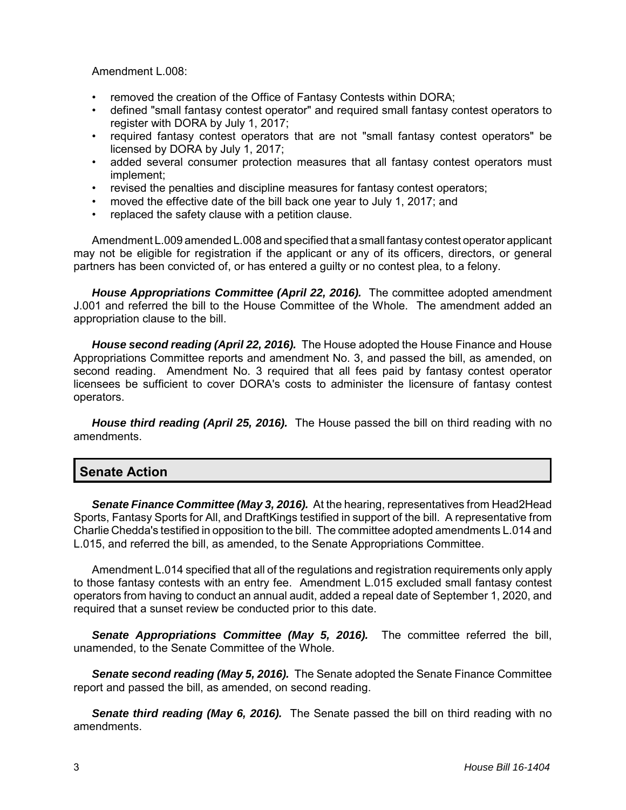Amendment L.008:

- removed the creation of the Office of Fantasy Contests within DORA;
- defined "small fantasy contest operator" and required small fantasy contest operators to register with DORA by July 1, 2017;
- required fantasy contest operators that are not "small fantasy contest operators" be licensed by DORA by July 1, 2017;
- added several consumer protection measures that all fantasy contest operators must implement;
- revised the penalties and discipline measures for fantasy contest operators;
- moved the effective date of the bill back one year to July 1, 2017; and
- replaced the safety clause with a petition clause.

Amendment L.009 amended L.008 and specified that a small fantasy contest operator applicant may not be eligible for registration if the applicant or any of its officers, directors, or general partners has been convicted of, or has entered a guilty or no contest plea, to a felony.

*House Appropriations Committee (April 22, 2016).* The committee adopted amendment J.001 and referred the bill to the House Committee of the Whole. The amendment added an appropriation clause to the bill.

*House second reading (April 22, 2016).* The House adopted the House Finance and House Appropriations Committee reports and amendment No. 3, and passed the bill, as amended, on second reading. Amendment No. 3 required that all fees paid by fantasy contest operator licensees be sufficient to cover DORA's costs to administer the licensure of fantasy contest operators.

*House third reading (April 25, 2016).* The House passed the bill on third reading with no amendments.

#### **Senate Action**

*Senate Finance Committee (May 3, 2016).* At the hearing, representatives from Head2Head Sports, Fantasy Sports for All, and DraftKings testified in support of the bill. A representative from Charlie Chedda's testified in opposition to the bill. The committee adopted amendments L.014 and L.015, and referred the bill, as amended, to the Senate Appropriations Committee.

Amendment L.014 specified that all of the regulations and registration requirements only apply to those fantasy contests with an entry fee. Amendment L.015 excluded small fantasy contest operators from having to conduct an annual audit, added a repeal date of September 1, 2020, and required that a sunset review be conducted prior to this date.

*Senate Appropriations Committee (May 5, 2016).* The committee referred the bill, unamended, to the Senate Committee of the Whole.

*Senate second reading (May 5, 2016).* The Senate adopted the Senate Finance Committee report and passed the bill, as amended, on second reading.

*Senate third reading (May 6, 2016).* The Senate passed the bill on third reading with no amendments.